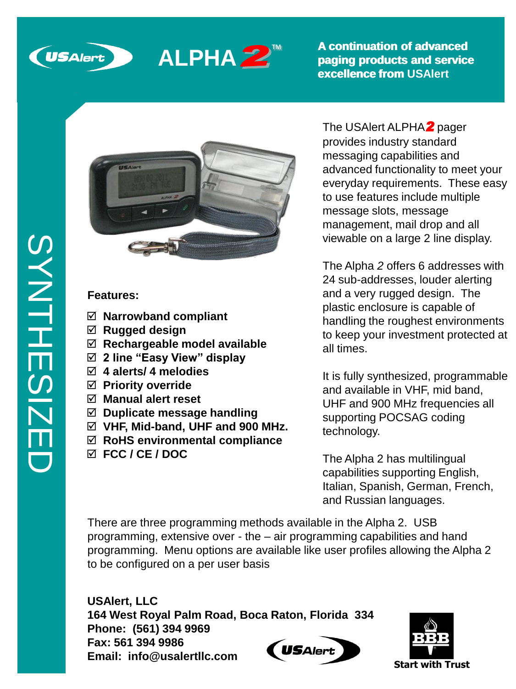



**A continuation of advanced paging products and service A continuation of advanced paging products and service excellence from excellence from from USAlert**



## **Features::**

- **Narrowband compliant**
- **Rugged design**
- **Rechargeable model available**
- **2 line "Easy View" display**
- **4 alerts/ 4 melodies**
- **Priority override**
- **Manual alert reset**
- **Duplicate message handling**
- **VHF, Mid-band, UHF and 900 MHz.**
- **RoHS environmental compliance**
- **FCC / CE / DOC**

The USAlert ALPHA*2* pager provides industry standard messaging capabilities and advanced functionality to meet your everyday requirements. These easy to use features include multiple message slots, message management, mail drop and all viewable on a large 2 line display.

The Alpha *2* offers 6 addresses with 24 sub-addresses, louder alerting and a very rugged design. The plastic enclosure is capable of handling the roughest environments to keep your investment protected at all times.

It is fully synthesized, programmable and available in VHF, mid band, UHF and 900 MHz frequencies all supporting POCSAG coding technology.

The Alpha 2 has multilingual capabilities supporting English, Italian, Spanish, German, French, and Russian languages.

There are three programming methods available in the Alpha 2. USB programming, extensive over - the – air programming capabilities and hand programming. Menu options are available like user profiles allowing the Alpha 2 to be configured on a per user basis

**USAlert, LLC 164 West Royal Palm Road, Boca Raton, Florida 334 Phone: (561) 394 9969 Fax: 561 394 9986 USAlert Email: info@usalertllc.com**